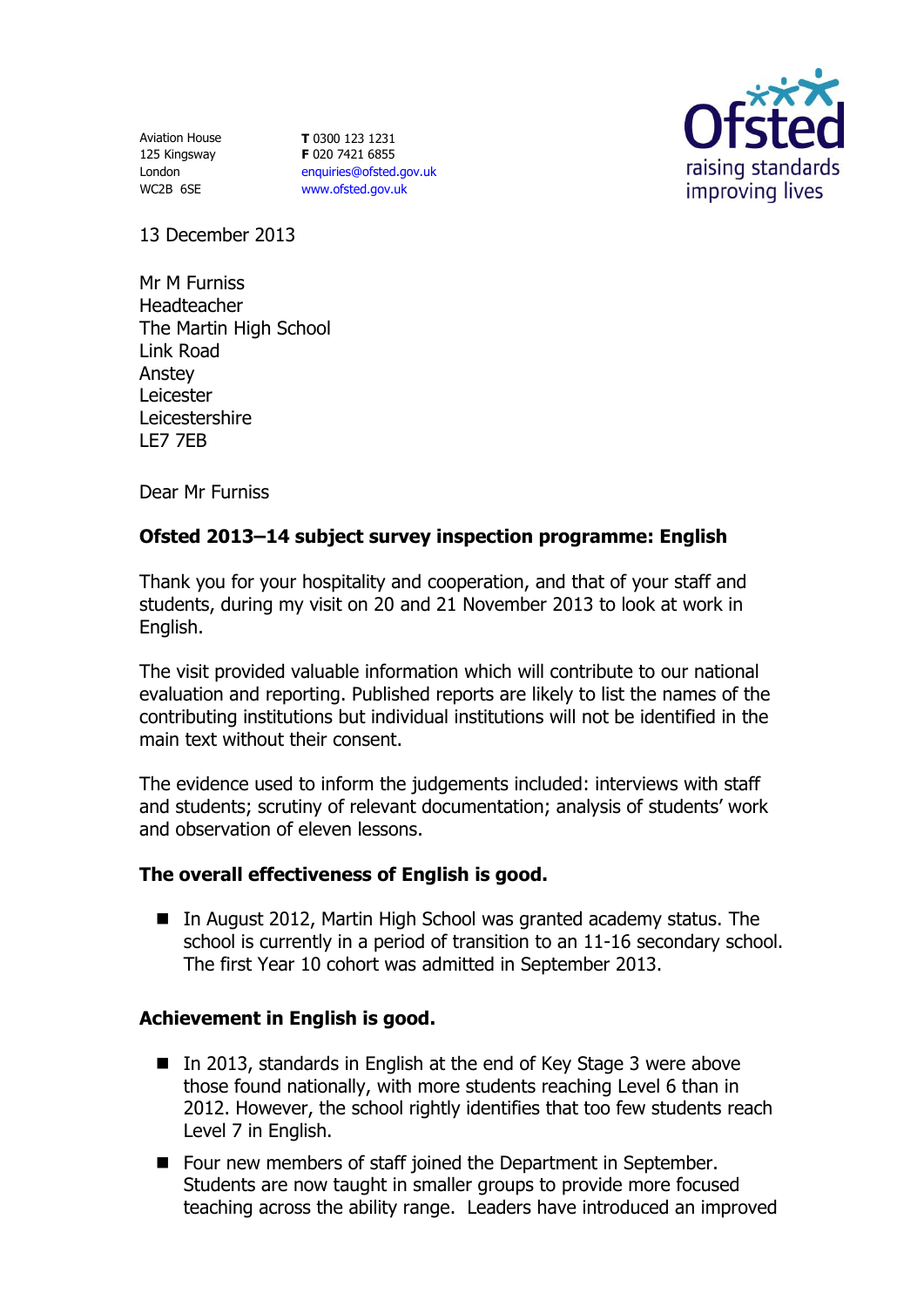Aviation House 125 Kingsway London WC2B 6SE

**T** 0300 123 1231 **F** 020 7421 6855 [enquiries@ofsted.gov.uk](mailto:enquiries@ofsted.gov.uk) [www.ofsted.gov.uk](http://www.ofsted.gov.uk/)



13 December 2013

Mr M Furniss Headteacher The Martin High School Link Road Anstey Leicester Leicestershire LE7 7EB

Dear Mr Furniss

# **Ofsted 2013–14 subject survey inspection programme: English**

Thank you for your hospitality and cooperation, and that of your staff and students, during my visit on 20 and 21 November 2013 to look at work in English.

The visit provided valuable information which will contribute to our national evaluation and reporting. Published reports are likely to list the names of the contributing institutions but individual institutions will not be identified in the main text without their consent.

The evidence used to inform the judgements included: interviews with staff and students; scrutiny of relevant documentation; analysis of students' work and observation of eleven lessons.

#### **The overall effectiveness of English is good.**

■ In August 2012, Martin High School was granted academy status. The school is currently in a period of transition to an 11-16 secondary school. The first Year 10 cohort was admitted in September 2013.

## **Achievement in English is good.**

- In 2013, standards in English at the end of Key Stage 3 were above those found nationally, with more students reaching Level 6 than in 2012. However, the school rightly identifies that too few students reach Level 7 in English.
- Four new members of staff joined the Department in September. Students are now taught in smaller groups to provide more focused teaching across the ability range. Leaders have introduced an improved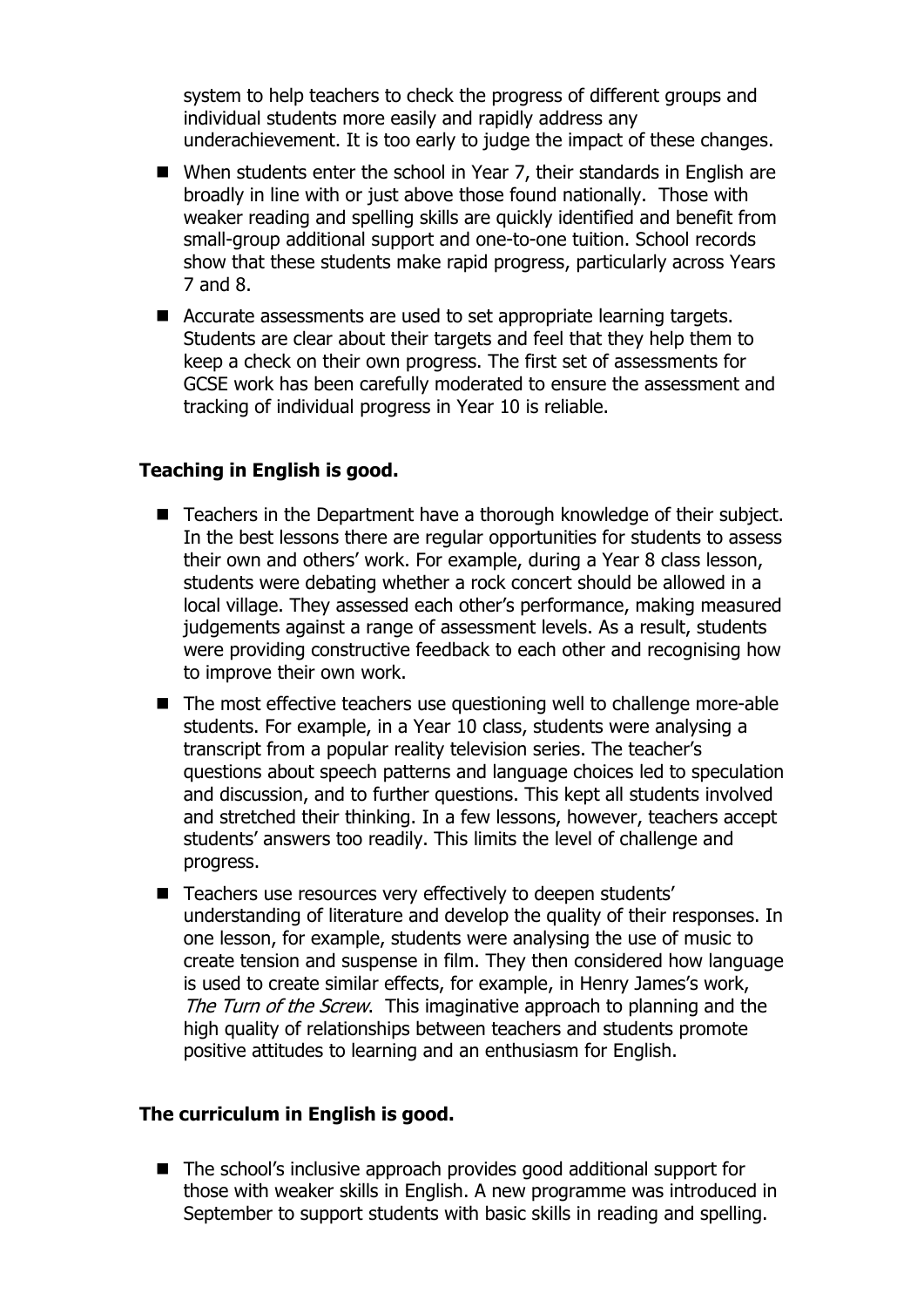system to help teachers to check the progress of different groups and individual students more easily and rapidly address any underachievement. It is too early to judge the impact of these changes.

- When students enter the school in Year 7, their standards in English are broadly in line with or just above those found nationally. Those with weaker reading and spelling skills are quickly identified and benefit from small-group additional support and one-to-one tuition. School records show that these students make rapid progress, particularly across Years 7 and 8.
- Accurate assessments are used to set appropriate learning targets. Students are clear about their targets and feel that they help them to keep a check on their own progress. The first set of assessments for GCSE work has been carefully moderated to ensure the assessment and tracking of individual progress in Year 10 is reliable.

### **Teaching in English is good.**

- Teachers in the Department have a thorough knowledge of their subject. In the best lessons there are regular opportunities for students to assess their own and others' work. For example, during a Year 8 class lesson, students were debating whether a rock concert should be allowed in a local village. They assessed each other's performance, making measured judgements against a range of assessment levels. As a result, students were providing constructive feedback to each other and recognising how to improve their own work.
- The most effective teachers use questioning well to challenge more-able students. For example, in a Year 10 class, students were analysing a transcript from a popular reality television series. The teacher's questions about speech patterns and language choices led to speculation and discussion, and to further questions. This kept all students involved and stretched their thinking. In a few lessons, however, teachers accept students' answers too readily. This limits the level of challenge and progress.
- Teachers use resources very effectively to deepen students' understanding of literature and develop the quality of their responses. In one lesson, for example, students were analysing the use of music to create tension and suspense in film. They then considered how language is used to create similar effects, for example, in Henry James's work, The Turn of the Screw. This imaginative approach to planning and the high quality of relationships between teachers and students promote positive attitudes to learning and an enthusiasm for English.

### **The curriculum in English is good.**

■ The school's inclusive approach provides good additional support for those with weaker skills in English. A new programme was introduced in September to support students with basic skills in reading and spelling.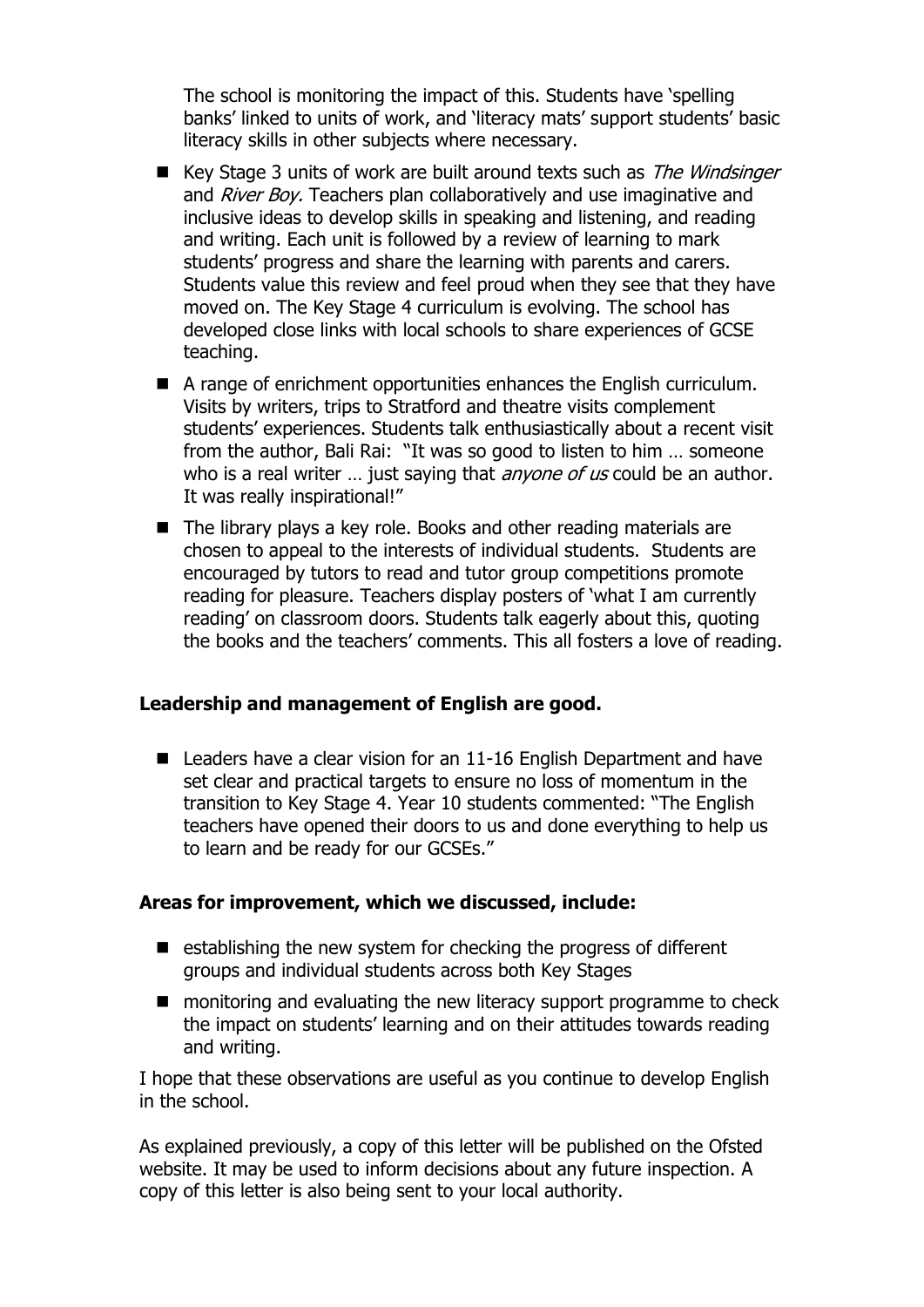The school is monitoring the impact of this. Students have 'spelling banks' linked to units of work, and 'literacy mats' support students' basic literacy skills in other subjects where necessary.

- Key Stage 3 units of work are built around texts such as The Windsinger and *River Boy.* Teachers plan collaboratively and use imaginative and inclusive ideas to develop skills in speaking and listening, and reading and writing. Each unit is followed by a review of learning to mark students' progress and share the learning with parents and carers. Students value this review and feel proud when they see that they have moved on. The Key Stage 4 curriculum is evolving. The school has developed close links with local schools to share experiences of GCSE teaching.
- A range of enrichment opportunities enhances the English curriculum. Visits by writers, trips to Stratford and theatre visits complement students' experiences. Students talk enthusiastically about a recent visit from the author, Bali Rai: "It was so good to listen to him … someone who is a real writer ... just saying that *anyone of us* could be an author. It was really inspirational!"
- $\blacksquare$  The library plays a key role. Books and other reading materials are chosen to appeal to the interests of individual students. Students are encouraged by tutors to read and tutor group competitions promote reading for pleasure. Teachers display posters of 'what I am currently reading' on classroom doors. Students talk eagerly about this, quoting the books and the teachers' comments. This all fosters a love of reading.

### **Leadership and management of English are good.**

■ Leaders have a clear vision for an 11-16 English Department and have set clear and practical targets to ensure no loss of momentum in the transition to Key Stage 4. Year 10 students commented: "The English teachers have opened their doors to us and done everything to help us to learn and be ready for our GCSEs."

## **Areas for improvement, which we discussed, include:**

- $\blacksquare$  establishing the new system for checking the progress of different groups and individual students across both Key Stages
- monitoring and evaluating the new literacy support programme to check the impact on students' learning and on their attitudes towards reading and writing.

I hope that these observations are useful as you continue to develop English in the school.

As explained previously, a copy of this letter will be published on the Ofsted website. It may be used to inform decisions about any future inspection. A copy of this letter is also being sent to your local authority.